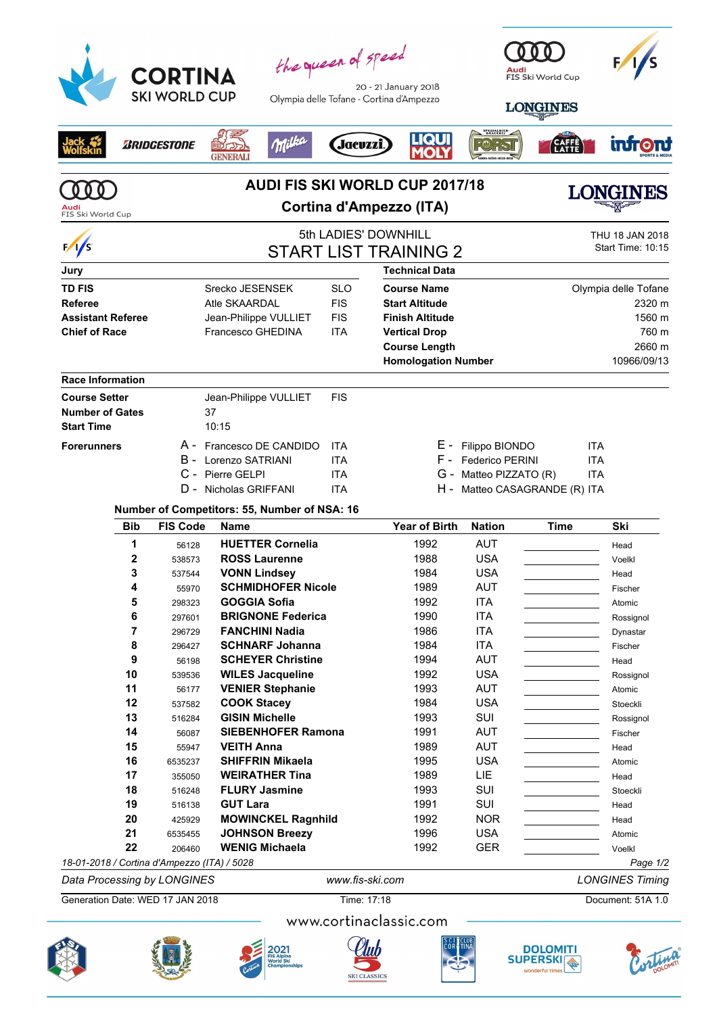